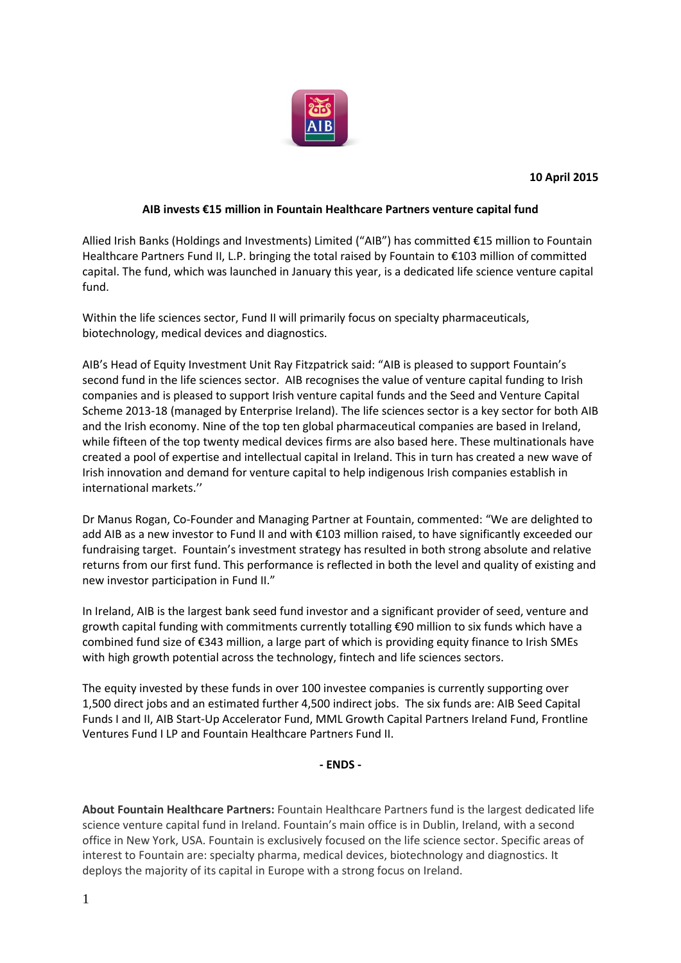

## **AIB invests €15 million in Fountain Healthcare Partners venture capital fund**

Allied Irish Banks (Holdings and Investments) Limited ("AIB") has committed €15 million to Fountain Healthcare Partners Fund II, L.P. bringing the total raised by Fountain to €103 million of committed capital. The fund, which was launched in January this year, is a dedicated life science venture capital fund.

Within the life sciences sector, Fund II will primarily focus on specialty pharmaceuticals, biotechnology, medical devices and diagnostics.

AIB's Head of Equity Investment Unit Ray Fitzpatrick said: "AIB is pleased to support Fountain's second fund in the life sciences sector. AIB recognises the value of venture capital funding to Irish companies and is pleased to support Irish venture capital funds and the Seed and Venture Capital Scheme 2013-18 (managed by Enterprise Ireland). The life sciences sector is a key sector for both AIB and the Irish economy. Nine of the top ten global pharmaceutical companies are based in Ireland, while fifteen of the top twenty medical devices firms are also based here. These multinationals have created a pool of expertise and intellectual capital in Ireland. This in turn has created a new wave of Irish innovation and demand for venture capital to help indigenous Irish companies establish in international markets.''

Dr Manus Rogan, Co-Founder and Managing Partner at Fountain, commented: "We are delighted to add AIB as a new investor to Fund II and with €103 million raised, to have significantly exceeded our fundraising target. Fountain's investment strategy has resulted in both strong absolute and relative returns from our first fund. This performance is reflected in both the level and quality of existing and new investor participation in Fund II."

In Ireland, AIB is the largest bank seed fund investor and a significant provider of seed, venture and growth capital funding with commitments currently totalling €90 million to six funds which have a combined fund size of €343 million, a large part of which is providing equity finance to Irish SMEs with high growth potential across the technology, fintech and life sciences sectors.

The equity invested by these funds in over 100 investee companies is currently supporting over 1,500 direct jobs and an estimated further 4,500 indirect jobs. The six funds are: AIB Seed Capital Funds I and II, AIB Start-Up Accelerator Fund, MML Growth Capital Partners Ireland Fund, Frontline Ventures Fund I LP and Fountain Healthcare Partners Fund II.

**- ENDS -**

**About Fountain Healthcare Partners:** Fountain Healthcare Partners fund is the largest dedicated life science venture capital fund in Ireland. Fountain's main office is in Dublin, Ireland, with a second office in New York, USA. Fountain is exclusively focused on the life science sector. Specific areas of interest to Fountain are: specialty pharma, medical devices, biotechnology and diagnostics. It deploys the majority of its capital in Europe with a strong focus on Ireland.